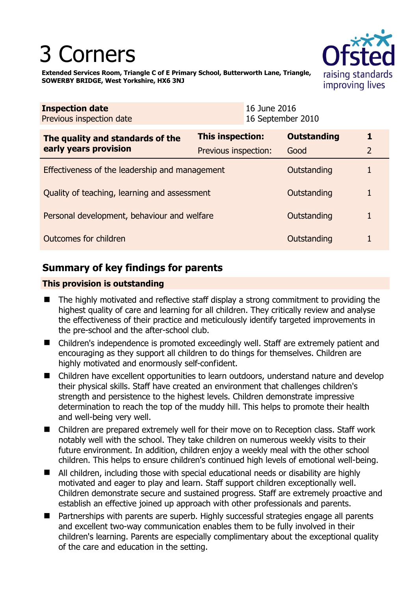# 3 Corners



**Extended Services Room, Triangle C of E Primary School, Butterworth Lane, Triangle, SOWERBY BRIDGE, West Yorkshire, HX6 3NJ** 

| <b>Inspection date</b><br>Previous inspection date        |                      | 16 June 2016<br>16 September 2010 |                    |   |
|-----------------------------------------------------------|----------------------|-----------------------------------|--------------------|---|
| The quality and standards of the<br>early years provision | This inspection:     |                                   | <b>Outstanding</b> |   |
|                                                           | Previous inspection: |                                   | Good               | 2 |
| Effectiveness of the leadership and management            |                      |                                   | Outstanding        |   |
| Quality of teaching, learning and assessment              |                      |                                   | Outstanding        |   |
| Personal development, behaviour and welfare               |                      |                                   | Outstanding        |   |
| Outcomes for children                                     |                      |                                   | Outstanding        |   |

## **Summary of key findings for parents**

## **This provision is outstanding**

- The highly motivated and reflective staff display a strong commitment to providing the highest quality of care and learning for all children. They critically review and analyse the effectiveness of their practice and meticulously identify targeted improvements in the pre-school and the after-school club.
- Children's independence is promoted exceedingly well. Staff are extremely patient and encouraging as they support all children to do things for themselves. Children are highly motivated and enormously self-confident.
- Children have excellent opportunities to learn outdoors, understand nature and develop their physical skills. Staff have created an environment that challenges children's strength and persistence to the highest levels. Children demonstrate impressive determination to reach the top of the muddy hill. This helps to promote their health and well-being very well.
- Children are prepared extremely well for their move on to Reception class. Staff work notably well with the school. They take children on numerous weekly visits to their future environment. In addition, children enjoy a weekly meal with the other school children. This helps to ensure children's continued high levels of emotional well-being.
- All children, including those with special educational needs or disability are highly motivated and eager to play and learn. Staff support children exceptionally well. Children demonstrate secure and sustained progress. Staff are extremely proactive and establish an effective joined up approach with other professionals and parents.
- Partnerships with parents are superb. Highly successful strategies engage all parents and excellent two-way communication enables them to be fully involved in their children's learning. Parents are especially complimentary about the exceptional quality of the care and education in the setting.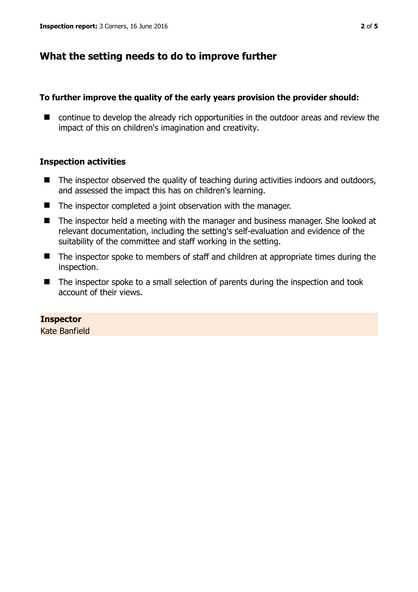## **What the setting needs to do to improve further**

## **To further improve the quality of the early years provision the provider should:**

■ continue to develop the already rich opportunities in the outdoor areas and review the impact of this on children's imagination and creativity.

## **Inspection activities**

- $\blacksquare$  The inspector observed the quality of teaching during activities indoors and outdoors, and assessed the impact this has on children's learning.
- The inspector completed a joint observation with the manager.
- The inspector held a meeting with the manager and business manager. She looked at relevant documentation, including the setting's self-evaluation and evidence of the suitability of the committee and staff working in the setting.
- The inspector spoke to members of staff and children at appropriate times during the inspection.
- The inspector spoke to a small selection of parents during the inspection and took account of their views.

## **Inspector**

Kate Banfield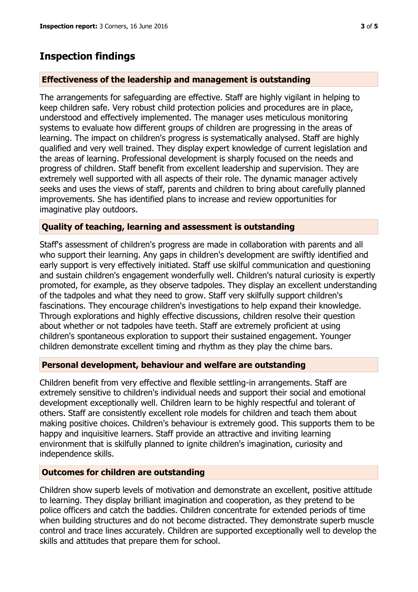## **Inspection findings**

## **Effectiveness of the leadership and management is outstanding**

The arrangements for safeguarding are effective. Staff are highly vigilant in helping to keep children safe. Very robust child protection policies and procedures are in place, understood and effectively implemented. The manager uses meticulous monitoring systems to evaluate how different groups of children are progressing in the areas of learning. The impact on children's progress is systematically analysed. Staff are highly qualified and very well trained. They display expert knowledge of current legislation and the areas of learning. Professional development is sharply focused on the needs and progress of children. Staff benefit from excellent leadership and supervision. They are extremely well supported with all aspects of their role. The dynamic manager actively seeks and uses the views of staff, parents and children to bring about carefully planned improvements. She has identified plans to increase and review opportunities for imaginative play outdoors.

## **Quality of teaching, learning and assessment is outstanding**

Staff's assessment of children's progress are made in collaboration with parents and all who support their learning. Any gaps in children's development are swiftly identified and early support is very effectively initiated. Staff use skilful communication and questioning and sustain children's engagement wonderfully well. Children's natural curiosity is expertly promoted, for example, as they observe tadpoles. They display an excellent understanding of the tadpoles and what they need to grow. Staff very skilfully support children's fascinations. They encourage children's investigations to help expand their knowledge. Through explorations and highly effective discussions, children resolve their question about whether or not tadpoles have teeth. Staff are extremely proficient at using children's spontaneous exploration to support their sustained engagement. Younger children demonstrate excellent timing and rhythm as they play the chime bars.

## **Personal development, behaviour and welfare are outstanding**

Children benefit from very effective and flexible settling-in arrangements. Staff are extremely sensitive to children's individual needs and support their social and emotional development exceptionally well. Children learn to be highly respectful and tolerant of others. Staff are consistently excellent role models for children and teach them about making positive choices. Children's behaviour is extremely good. This supports them to be happy and inquisitive learners. Staff provide an attractive and inviting learning environment that is skilfully planned to ignite children's imagination, curiosity and independence skills.

#### **Outcomes for children are outstanding**

Children show superb levels of motivation and demonstrate an excellent, positive attitude to learning. They display brilliant imagination and cooperation, as they pretend to be police officers and catch the baddies. Children concentrate for extended periods of time when building structures and do not become distracted. They demonstrate superb muscle control and trace lines accurately. Children are supported exceptionally well to develop the skills and attitudes that prepare them for school.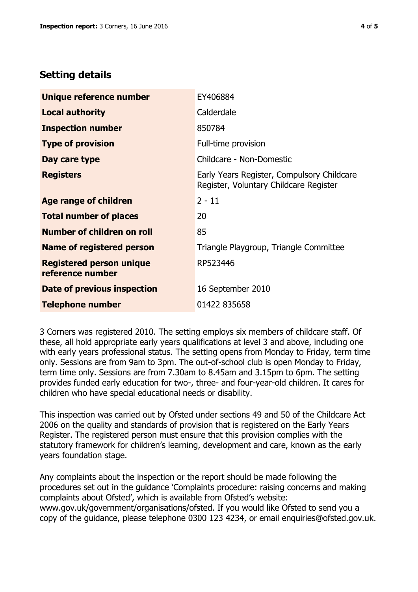## **Setting details**

| Unique reference number                             | EY406884                                                                             |  |
|-----------------------------------------------------|--------------------------------------------------------------------------------------|--|
| <b>Local authority</b>                              | Calderdale                                                                           |  |
| <b>Inspection number</b>                            | 850784                                                                               |  |
| <b>Type of provision</b>                            | Full-time provision                                                                  |  |
| Day care type                                       | Childcare - Non-Domestic                                                             |  |
| <b>Registers</b>                                    | Early Years Register, Compulsory Childcare<br>Register, Voluntary Childcare Register |  |
| Age range of children                               | $2 - 11$                                                                             |  |
| <b>Total number of places</b>                       | 20                                                                                   |  |
| Number of children on roll                          | 85                                                                                   |  |
| Name of registered person                           | Triangle Playgroup, Triangle Committee                                               |  |
| <b>Registered person unique</b><br>reference number | RP523446                                                                             |  |
| Date of previous inspection                         | 16 September 2010                                                                    |  |
| <b>Telephone number</b>                             | 01422 835658                                                                         |  |

3 Corners was registered 2010. The setting employs six members of childcare staff. Of these, all hold appropriate early years qualifications at level 3 and above, including one with early years professional status. The setting opens from Monday to Friday, term time only. Sessions are from 9am to 3pm. The out-of-school club is open Monday to Friday, term time only. Sessions are from 7.30am to 8.45am and 3.15pm to 6pm. The setting provides funded early education for two-, three- and four-year-old children. It cares for children who have special educational needs or disability.

This inspection was carried out by Ofsted under sections 49 and 50 of the Childcare Act 2006 on the quality and standards of provision that is registered on the Early Years Register. The registered person must ensure that this provision complies with the statutory framework for children's learning, development and care, known as the early years foundation stage.

Any complaints about the inspection or the report should be made following the procedures set out in the guidance 'Complaints procedure: raising concerns and making complaints about Ofsted', which is available from Ofsted's website: www.gov.uk/government/organisations/ofsted. If you would like Ofsted to send you a copy of the guidance, please telephone 0300 123 4234, or email enquiries@ofsted.gov.uk.